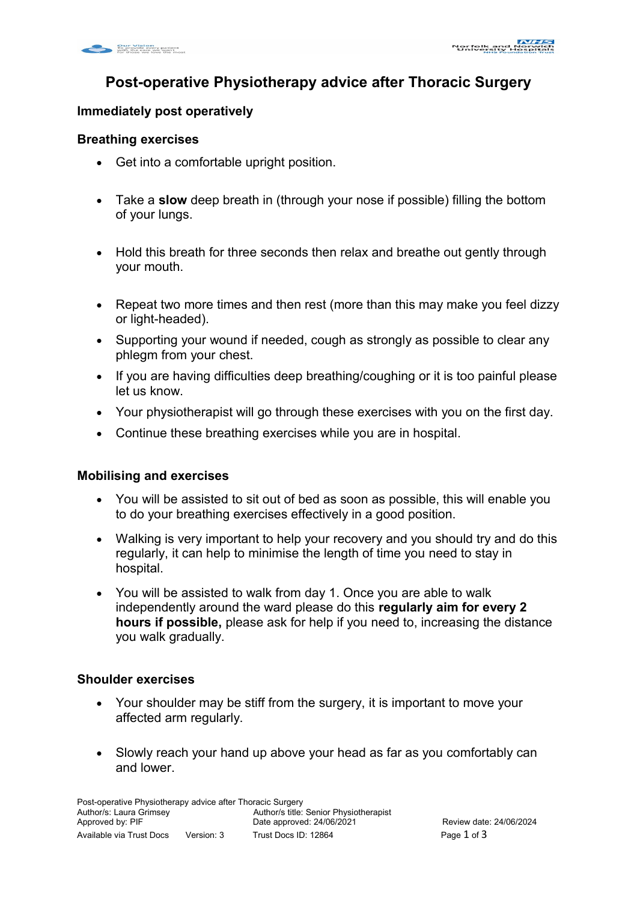# **Post-operative Physiotherapy advice after Thoracic Surgery**

## **Immediately post operatively**

#### **Breathing exercises**

- Get into a comfortable upright position.
- Take a **slow** deep breath in (through your nose if possible) filling the bottom of your lungs.
- Hold this breath for three seconds then relax and breathe out gently through your mouth.
- Repeat two more times and then rest (more than this may make you feel dizzy or light-headed).
- Supporting your wound if needed, cough as strongly as possible to clear any phlegm from your chest.
- If you are having difficulties deep breathing/coughing or it is too painful please let us know.
- Your physiotherapist will go through these exercises with you on the first day.
- Continue these breathing exercises while you are in hospital.

## **Mobilising and exercises**

- You will be assisted to sit out of bed as soon as possible, this will enable you to do your breathing exercises effectively in a good position.
- Walking is very important to help your recovery and you should try and do this regularly, it can help to minimise the length of time you need to stay in hospital.
- You will be assisted to walk from day 1. Once you are able to walk independently around the ward please do this **regularly aim for every 2 hours if possible,** please ask for help if you need to, increasing the distance you walk gradually.

#### **Shoulder exercises**

- Your shoulder may be stiff from the surgery, it is important to move your affected arm regularly.
- Slowly reach your hand up above your head as far as you comfortably can and lower.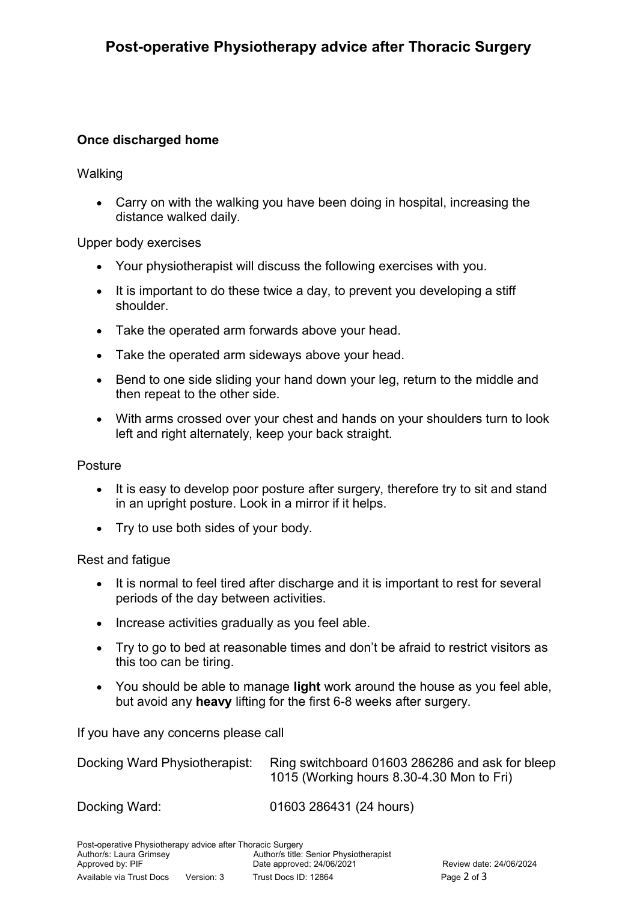## **Once discharged home**

**Walking** 

 Carry on with the walking you have been doing in hospital, increasing the distance walked daily.

Upper body exercises

- Your physiotherapist will discuss the following exercises with you.
- It is important to do these twice a day, to prevent you developing a stiff shoulder.
- Take the operated arm forwards above your head.
- Take the operated arm sideways above your head.
- Bend to one side sliding your hand down your leg, return to the middle and then repeat to the other side.
- With arms crossed over your chest and hands on your shoulders turn to look left and right alternately, keep your back straight.

#### Posture

- It is easy to develop poor posture after surgery, therefore try to sit and stand in an upright posture. Look in a mirror if it helps.
- Try to use both sides of your body.

#### Rest and fatigue

- It is normal to feel tired after discharge and it is important to rest for several periods of the day between activities.
- Increase activities gradually as you feel able.
- Try to go to bed at reasonable times and don't be afraid to restrict visitors as this too can be tiring.
- You should be able to manage **light** work around the house as you feel able, but avoid any **heavy** lifting for the first 6-8 weeks after surgery.

If you have any concerns please call

| Docking Ward Physiotherapist: | Ring switchboard 01603 286286 and ask for bleep |
|-------------------------------|-------------------------------------------------|
|                               | 1015 (Working hours 8.30-4.30 Mon to Fri)       |

Docking Ward: 01603 286431 (24 hours)

Post-operative Physiotherapy advice after Thoracic Surgery<br>Author/s: Laura Grimsey<br>Author/s title: Senior Physiotherapist Author/s: Laura Grimsey Approved by: PIF **Date approved: 24/06/2021** Review date: 24/06/2024 Available via Trust Docs Version: 3 Trust Docs ID: 12864Page 2 of 3